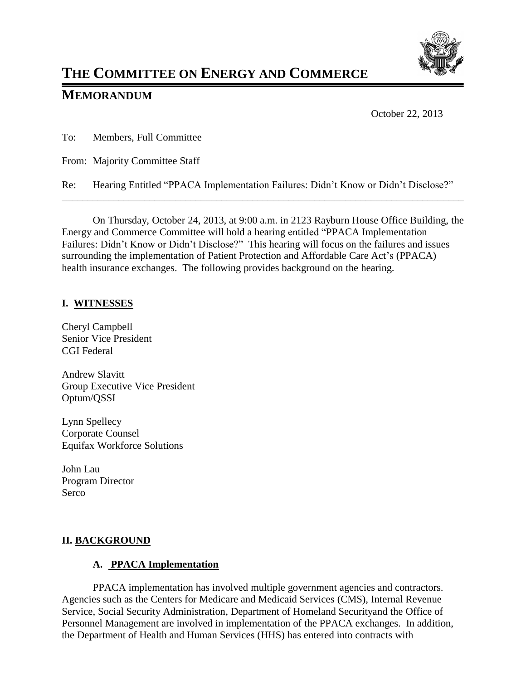

# **THE COMMITTEE ON ENERGY AND COMMERCE**

## **MEMORANDUM**

October 22, 2013

To: Members, Full Committee

From: Majority Committee Staff

Re: Hearing Entitled "PPACA Implementation Failures: Didn't Know or Didn't Disclose?"

\_\_\_\_\_\_\_\_\_\_\_\_\_\_\_\_\_\_\_\_\_\_\_\_\_\_\_\_\_\_\_\_\_\_\_\_\_\_\_\_\_\_\_\_\_\_\_\_\_\_\_\_\_\_\_\_\_\_\_\_\_\_\_\_\_\_\_\_\_\_\_\_\_\_\_\_\_\_

On Thursday, October 24, 2013, at 9:00 a.m. in 2123 Rayburn House Office Building, the Energy and Commerce Committee will hold a hearing entitled "PPACA Implementation Failures: Didn't Know or Didn't Disclose?" This hearing will focus on the failures and issues surrounding the implementation of Patient Protection and Affordable Care Act's (PPACA) health insurance exchanges. The following provides background on the hearing.

## **I. WITNESSES**

Cheryl Campbell Senior Vice President CGI Federal

Andrew Slavitt Group Executive Vice President Optum/QSSI

Lynn Spellecy Corporate Counsel Equifax Workforce Solutions

John Lau Program Director Serco

## **II. BACKGROUND**

## **A. PPACA Implementation**

PPACA implementation has involved multiple government agencies and contractors. Agencies such as the Centers for Medicare and Medicaid Services (CMS), Internal Revenue Service, Social Security Administration, Department of Homeland Securityand the Office of Personnel Management are involved in implementation of the PPACA exchanges. In addition, the Department of Health and Human Services (HHS) has entered into contracts with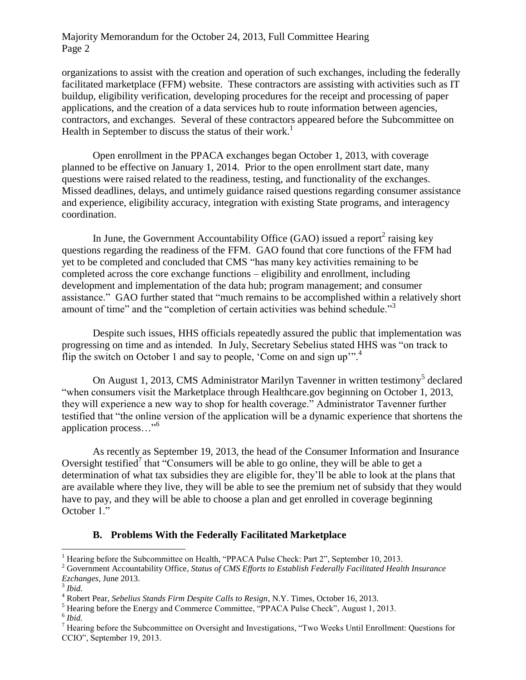#### Majority Memorandum for the October 24, 2013, Full Committee Hearing Page 2

organizations to assist with the creation and operation of such exchanges, including the federally facilitated marketplace (FFM) website. These contractors are assisting with activities such as IT buildup, eligibility verification, developing procedures for the receipt and processing of paper applications, and the creation of a data services hub to route information between agencies, contractors, and exchanges. Several of these contractors appeared before the Subcommittee on Health in September to discuss the status of their work.<sup>1</sup>

Open enrollment in the PPACA exchanges began October 1, 2013, with coverage planned to be effective on January 1, 2014. Prior to the open enrollment start date, many questions were raised related to the readiness, testing, and functionality of the exchanges. Missed deadlines, delays, and untimely guidance raised questions regarding consumer assistance and experience, eligibility accuracy, integration with existing State programs, and interagency coordination.

In June, the Government Accountability Office (GAO) issued a report<sup>2</sup> raising key questions regarding the readiness of the FFM. GAO found that core functions of the FFM had yet to be completed and concluded that CMS "has many key activities remaining to be completed across the core exchange functions – eligibility and enrollment, including development and implementation of the data hub; program management; and consumer assistance." GAO further stated that "much remains to be accomplished within a relatively short amount of time" and the "completion of certain activities was behind schedule."<sup>3</sup>

Despite such issues, HHS officials repeatedly assured the public that implementation was progressing on time and as intended. In July, Secretary Sebelius stated HHS was "on track to flip the switch on October 1 and say to people, 'Come on and sign up'".<sup>4</sup>

On August 1, 2013, CMS Administrator Marilyn Tavenner in written testimony<sup>5</sup> declared "when consumers visit the Marketplace through Healthcare.gov beginning on October 1, 2013, they will experience a new way to shop for health coverage." Administrator Tavenner further testified that "the online version of the application will be a dynamic experience that shortens the application process..."<sup>6</sup>

As recently as September 19, 2013, the head of the Consumer Information and Insurance Oversight testified<sup>7</sup> that "Consumers will be able to go online, they will be able to get a determination of what tax subsidies they are eligible for, they'll be able to look at the plans that are available where they live, they will be able to see the premium net of subsidy that they would have to pay, and they will be able to choose a plan and get enrolled in coverage beginning October 1."

#### **B. Problems With the Federally Facilitated Marketplace**

 $\overline{a}$ 

<sup>&</sup>lt;sup>1</sup> Hearing before the Subcommittee on Health, "PPACA Pulse Check: Part  $2$ ", September 10, 2013.

<sup>2</sup> Government Accountability Office, *Status of CMS Efforts to Establish Federally Facilitated Health Insurance Ezchanges*, June 2013.

<sup>3</sup> *Ibid.*

<sup>4</sup> Robert Pear, *Sebelius Stands Firm Despite Calls to Resign*, N.Y. Times, October 16, 2013.

<sup>5</sup> Hearing before the Energy and Commerce Committee, "PPACA Pulse Check", August 1, 2013.

<sup>6</sup> *Ibid.*

<sup>7</sup> Hearing before the Subcommittee on Oversight and Investigations, "Two Weeks Until Enrollment: Questions for CCIO", September 19, 2013.